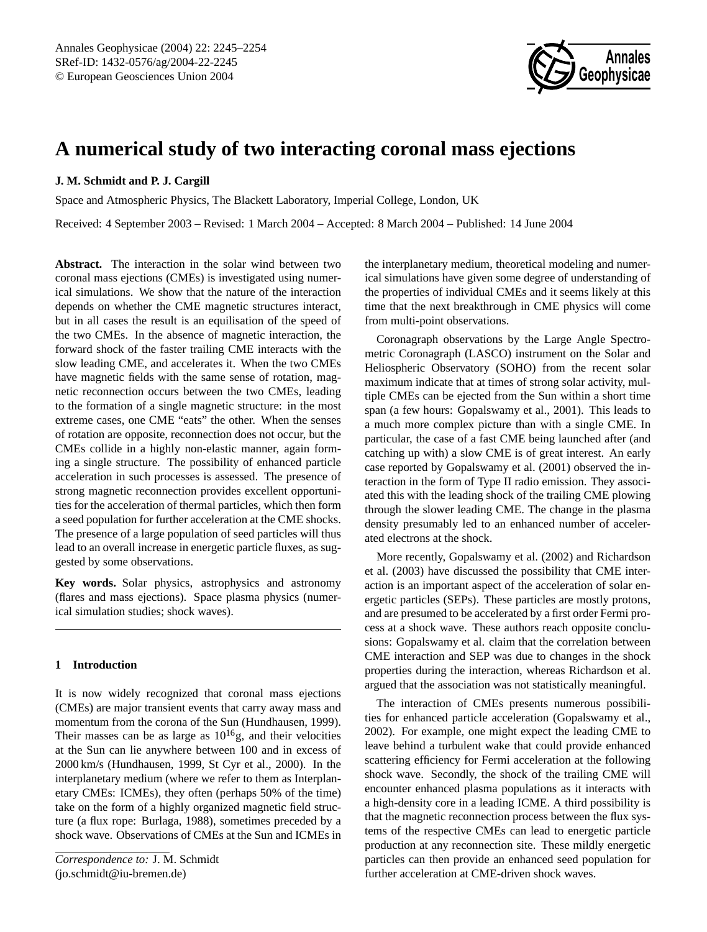

# **A numerical study of two interacting coronal mass ejections**

# **J. M. Schmidt and P. J. Cargill**

Space and Atmospheric Physics, The Blackett Laboratory, Imperial College, London, UK

Received: 4 September 2003 – Revised: 1 March 2004 – Accepted: 8 March 2004 – Published: 14 June 2004

**Abstract.** The interaction in the solar wind between two coronal mass ejections (CMEs) is investigated using numerical simulations. We show that the nature of the interaction depends on whether the CME magnetic structures interact, but in all cases the result is an equilisation of the speed of the two CMEs. In the absence of magnetic interaction, the forward shock of the faster trailing CME interacts with the slow leading CME, and accelerates it. When the two CMEs have magnetic fields with the same sense of rotation, magnetic reconnection occurs between the two CMEs, leading to the formation of a single magnetic structure: in the most extreme cases, one CME "eats" the other. When the senses of rotation are opposite, reconnection does not occur, but the CMEs collide in a highly non-elastic manner, again forming a single structure. The possibility of enhanced particle acceleration in such processes is assessed. The presence of strong magnetic reconnection provides excellent opportunities for the acceleration of thermal particles, which then form a seed population for further acceleration at the CME shocks. The presence of a large population of seed particles will thus lead to an overall increase in energetic particle fluxes, as suggested by some observations.

**Key words.** Solar physics, astrophysics and astronomy (flares and mass ejections). Space plasma physics (numerical simulation studies; shock waves).

# **1 Introduction**

It is now widely recognized that coronal mass ejections (CMEs) are major transient events that carry away mass and momentum from the corona of the Sun (Hundhausen, 1999). Their masses can be as large as  $10^{16}$ g, and their velocities at the Sun can lie anywhere between 100 and in excess of 2000 km/s (Hundhausen, 1999, St Cyr et al., 2000). In the interplanetary medium (where we refer to them as Interplanetary CMEs: ICMEs), they often (perhaps 50% of the time) take on the form of a highly organized magnetic field structure (a flux rope: Burlaga, 1988), sometimes preceded by a shock wave. Observations of CMEs at the Sun and ICMEs in the interplanetary medium, theoretical modeling and numerical simulations have given some degree of understanding of the properties of individual CMEs and it seems likely at this time that the next breakthrough in CME physics will come from multi-point observations.

Coronagraph observations by the Large Angle Spectrometric Coronagraph (LASCO) instrument on the Solar and Heliospheric Observatory (SOHO) from the recent solar maximum indicate that at times of strong solar activity, multiple CMEs can be ejected from the Sun within a short time span (a few hours: Gopalswamy et al., 2001). This leads to a much more complex picture than with a single CME. In particular, the case of a fast CME being launched after (and catching up with) a slow CME is of great interest. An early case reported by Gopalswamy et al. (2001) observed the interaction in the form of Type II radio emission. They associated this with the leading shock of the trailing CME plowing through the slower leading CME. The change in the plasma density presumably led to an enhanced number of accelerated electrons at the shock.

More recently, Gopalswamy et al. (2002) and Richardson et al. (2003) have discussed the possibility that CME interaction is an important aspect of the acceleration of solar energetic particles (SEPs). These particles are mostly protons, and are presumed to be accelerated by a first order Fermi process at a shock wave. These authors reach opposite conclusions: Gopalswamy et al. claim that the correlation between CME interaction and SEP was due to changes in the shock properties during the interaction, whereas Richardson et al. argued that the association was not statistically meaningful.

The interaction of CMEs presents numerous possibilities for enhanced particle acceleration (Gopalswamy et al., 2002). For example, one might expect the leading CME to leave behind a turbulent wake that could provide enhanced scattering efficiency for Fermi acceleration at the following shock wave. Secondly, the shock of the trailing CME will encounter enhanced plasma populations as it interacts with a high-density core in a leading ICME. A third possibility is that the magnetic reconnection process between the flux systems of the respective CMEs can lead to energetic particle production at any reconnection site. These mildly energetic particles can then provide an enhanced seed population for further acceleration at CME-driven shock waves.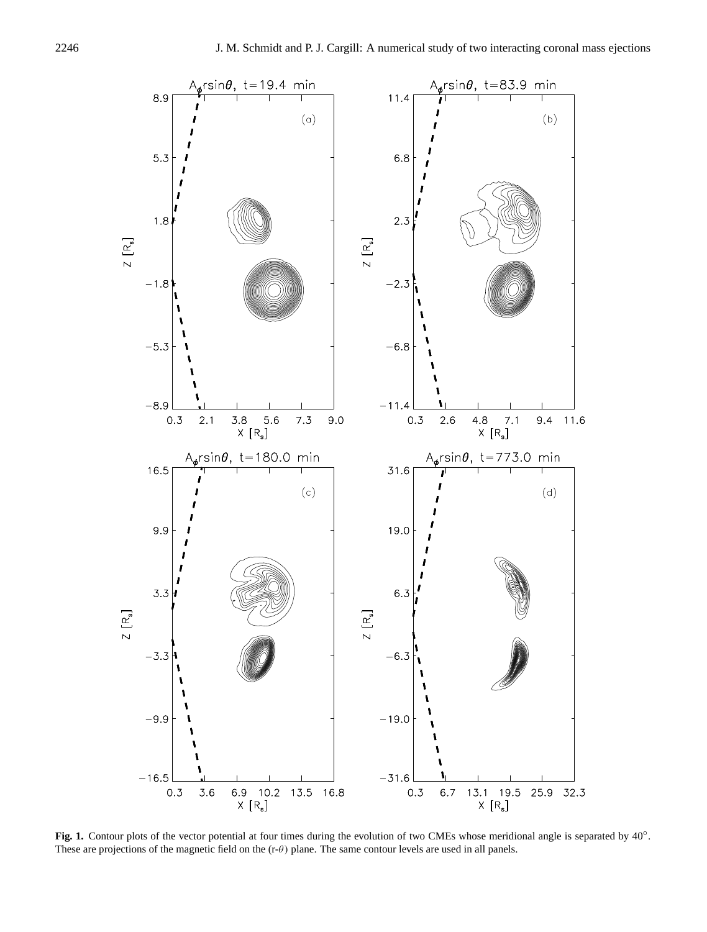

Fig. 1. Contour plots of the vector potential at four times during the evolution of two CMEs whose meridional angle is separated by 40°. These are projections of the magnetic field on the  $(r-\theta)$  plane. The same contour levels are used in all panels.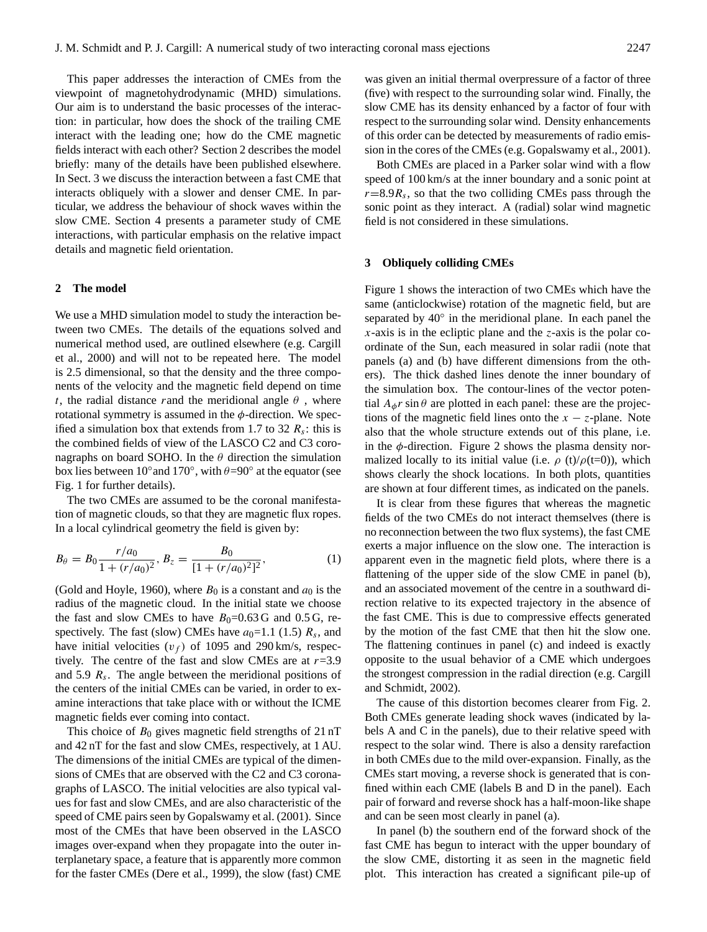This paper addresses the interaction of CMEs from the viewpoint of magnetohydrodynamic (MHD) simulations. Our aim is to understand the basic processes of the interaction: in particular, how does the shock of the trailing CME interact with the leading one; how do the CME magnetic fields interact with each other? Section 2 describes the model briefly: many of the details have been published elsewhere. In Sect. 3 we discuss the interaction between a fast CME that interacts obliquely with a slower and denser CME. In particular, we address the behaviour of shock waves within the slow CME. Section 4 presents a parameter study of CME interactions, with particular emphasis on the relative impact details and magnetic field orientation.

## **2 The model**

We use a MHD simulation model to study the interaction between two CMEs. The details of the equations solved and numerical method used, are outlined elsewhere (e.g. Cargill et al., 2000) and will not to be repeated here. The model is 2.5 dimensional, so that the density and the three components of the velocity and the magnetic field depend on time t, the radial distance rand the meridional angle  $\theta$ , where rotational symmetry is assumed in the  $\phi$ -direction. We specified a simulation box that extends from 1.7 to 32  $R_s$ : this is the combined fields of view of the LASCO C2 and C3 coronagraphs on board SOHO. In the  $\theta$  direction the simulation box lies between 10° and 170°, with  $\theta = 90^\circ$  at the equator (see Fig. 1 for further details).

The two CMEs are assumed to be the coronal manifestation of magnetic clouds, so that they are magnetic flux ropes. In a local cylindrical geometry the field is given by:

$$
B_{\theta} = B_0 \frac{r/a_0}{1 + (r/a_0)^2}, B_z = \frac{B_0}{[1 + (r/a_0)^2]^2},
$$
 (1)

(Gold and Hoyle, 1960), where  $B_0$  is a constant and  $a_0$  is the radius of the magnetic cloud. In the initial state we choose the fast and slow CMEs to have  $B_0=0.63$  G and 0.5 G, respectively. The fast (slow) CMEs have  $a_0$ =1.1 (1.5)  $R_s$ , and have initial velocities  $(v_f)$  of 1095 and 290 km/s, respectively. The centre of the fast and slow CMEs are at  $r=3.9$ and 5.9  $R_s$ . The angle between the meridional positions of the centers of the initial CMEs can be varied, in order to examine interactions that take place with or without the ICME magnetic fields ever coming into contact.

This choice of  $B_0$  gives magnetic field strengths of 21 nT and 42 nT for the fast and slow CMEs, respectively, at 1 AU. The dimensions of the initial CMEs are typical of the dimensions of CMEs that are observed with the C2 and C3 coronagraphs of LASCO. The initial velocities are also typical values for fast and slow CMEs, and are also characteristic of the speed of CME pairs seen by Gopalswamy et al. (2001). Since most of the CMEs that have been observed in the LASCO images over-expand when they propagate into the outer interplanetary space, a feature that is apparently more common for the faster CMEs (Dere et al., 1999), the slow (fast) CME

was given an initial thermal overpressure of a factor of three (five) with respect to the surrounding solar wind. Finally, the slow CME has its density enhanced by a factor of four with respect to the surrounding solar wind. Density enhancements of this order can be detected by measurements of radio emission in the cores of the CMEs (e.g. Gopalswamy et al., 2001).

Both CMEs are placed in a Parker solar wind with a flow speed of 100 km/s at the inner boundary and a sonic point at  $r=8.9R_s$ , so that the two colliding CMEs pass through the sonic point as they interact. A (radial) solar wind magnetic field is not considered in these simulations.

#### **3 Obliquely colliding CMEs**

Figure 1 shows the interaction of two CMEs which have the same (anticlockwise) rotation of the magnetic field, but are separated by 40° in the meridional plane. In each panel the  $x$ -axis is in the ecliptic plane and the  $z$ -axis is the polar coordinate of the Sun, each measured in solar radii (note that panels (a) and (b) have different dimensions from the others). The thick dashed lines denote the inner boundary of the simulation box. The contour-lines of the vector potential  $A_{\phi}r \sin \theta$  are plotted in each panel: these are the projections of the magnetic field lines onto the  $x - z$ -plane. Note also that the whole structure extends out of this plane, i.e. in the  $\phi$ -direction. Figure 2 shows the plasma density normalized locally to its initial value (i.e.  $\rho$  (t)/ $\rho$ (t=0)), which shows clearly the shock locations. In both plots, quantities are shown at four different times, as indicated on the panels.

It is clear from these figures that whereas the magnetic fields of the two CMEs do not interact themselves (there is no reconnection between the two flux systems), the fast CME exerts a major influence on the slow one. The interaction is apparent even in the magnetic field plots, where there is a flattening of the upper side of the slow CME in panel (b), and an associated movement of the centre in a southward direction relative to its expected trajectory in the absence of the fast CME. This is due to compressive effects generated by the motion of the fast CME that then hit the slow one. The flattening continues in panel (c) and indeed is exactly opposite to the usual behavior of a CME which undergoes the strongest compression in the radial direction (e.g. Cargill and Schmidt, 2002).

The cause of this distortion becomes clearer from Fig. 2. Both CMEs generate leading shock waves (indicated by labels A and C in the panels), due to their relative speed with respect to the solar wind. There is also a density rarefaction in both CMEs due to the mild over-expansion. Finally, as the CMEs start moving, a reverse shock is generated that is confined within each CME (labels B and D in the panel). Each pair of forward and reverse shock has a half-moon-like shape and can be seen most clearly in panel (a).

In panel (b) the southern end of the forward shock of the fast CME has begun to interact with the upper boundary of the slow CME, distorting it as seen in the magnetic field plot. This interaction has created a significant pile-up of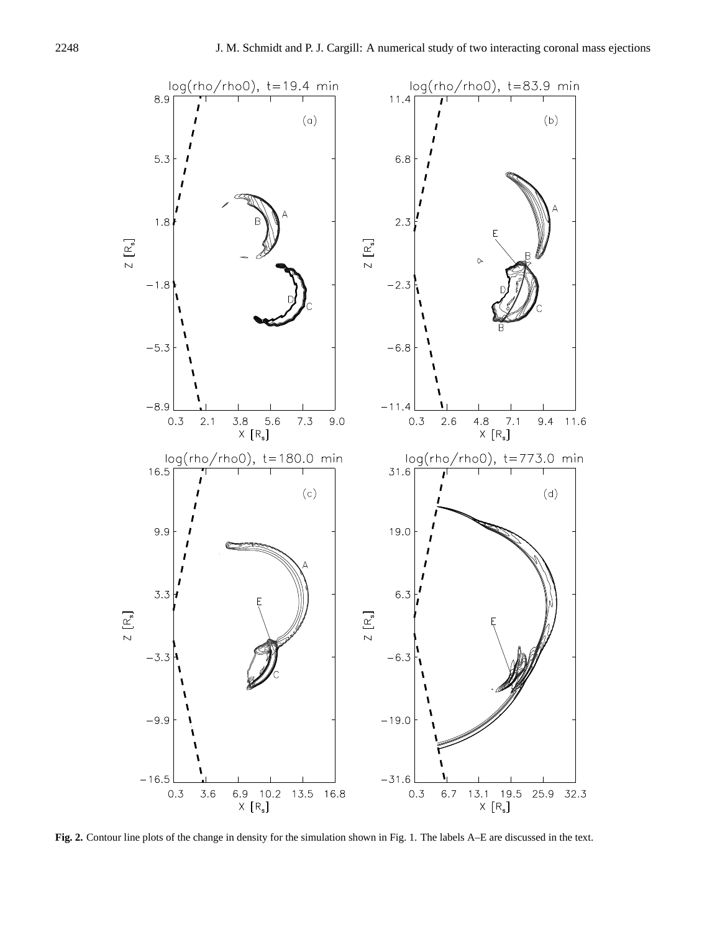

**Fig. 2.** Contour line plots of the change in density for the simulation shown in Fig. 1. The labels A–E are discussed in the text.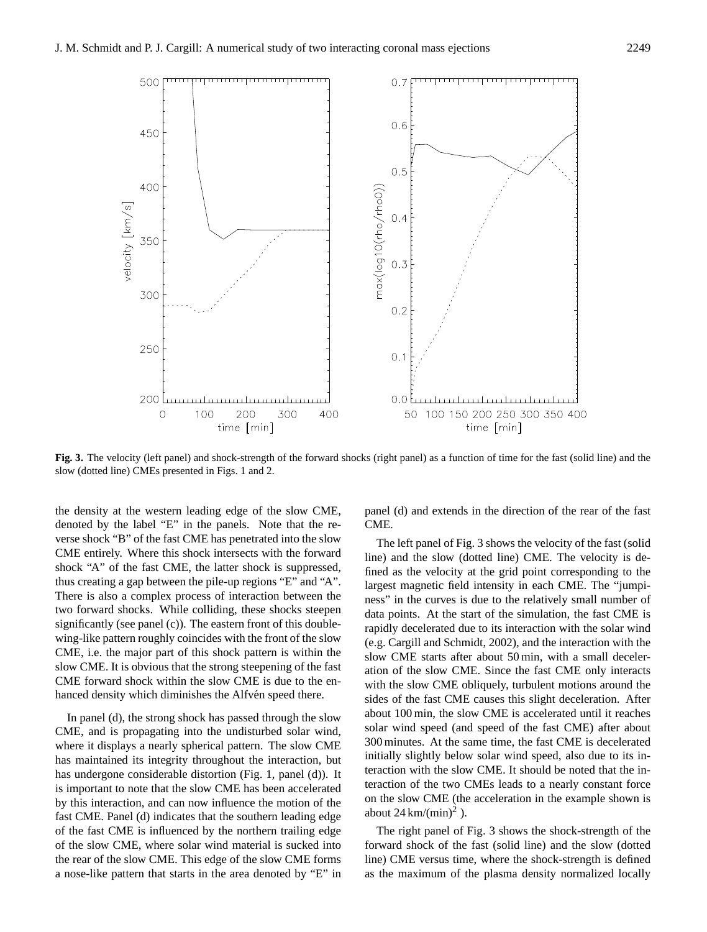

**Fig. 3.** The velocity (left panel) and shock-strength of the forward shocks (right panel) as a function of time for the fast (solid line) and the slow (dotted line) CMEs presented in Figs. 1 and 2.

the density at the western leading edge of the slow CME, denoted by the label "E" in the panels. Note that the reverse shock "B" of the fast CME has penetrated into the slow CME entirely. Where this shock intersects with the forward shock "A" of the fast CME, the latter shock is suppressed, thus creating a gap between the pile-up regions "E" and "A". There is also a complex process of interaction between the two forward shocks. While colliding, these shocks steepen significantly (see panel (c)). The eastern front of this doublewing-like pattern roughly coincides with the front of the slow CME, i.e. the major part of this shock pattern is within the slow CME. It is obvious that the strong steepening of the fast CME forward shock within the slow CME is due to the enhanced density which diminishes the Alfven speed there.

In panel (d), the strong shock has passed through the slow CME, and is propagating into the undisturbed solar wind, where it displays a nearly spherical pattern. The slow CME has maintained its integrity throughout the interaction, but has undergone considerable distortion (Fig. 1, panel (d)). It is important to note that the slow CME has been accelerated by this interaction, and can now influence the motion of the fast CME. Panel (d) indicates that the southern leading edge of the fast CME is influenced by the northern trailing edge of the slow CME, where solar wind material is sucked into the rear of the slow CME. This edge of the slow CME forms a nose-like pattern that starts in the area denoted by "E" in panel (d) and extends in the direction of the rear of the fast CME.

The left panel of Fig. 3 shows the velocity of the fast (solid line) and the slow (dotted line) CME. The velocity is defined as the velocity at the grid point corresponding to the largest magnetic field intensity in each CME. The "jumpiness" in the curves is due to the relatively small number of data points. At the start of the simulation, the fast CME is rapidly decelerated due to its interaction with the solar wind (e.g. Cargill and Schmidt, 2002), and the interaction with the slow CME starts after about 50 min, with a small deceleration of the slow CME. Since the fast CME only interacts with the slow CME obliquely, turbulent motions around the sides of the fast CME causes this slight deceleration. After about 100 min, the slow CME is accelerated until it reaches solar wind speed (and speed of the fast CME) after about 300 minutes. At the same time, the fast CME is decelerated initially slightly below solar wind speed, also due to its interaction with the slow CME. It should be noted that the interaction of the two CMEs leads to a nearly constant force on the slow CME (the acceleration in the example shown is about  $24 \text{ km}/(\text{min})^2$ ).

The right panel of Fig. 3 shows the shock-strength of the forward shock of the fast (solid line) and the slow (dotted line) CME versus time, where the shock-strength is defined as the maximum of the plasma density normalized locally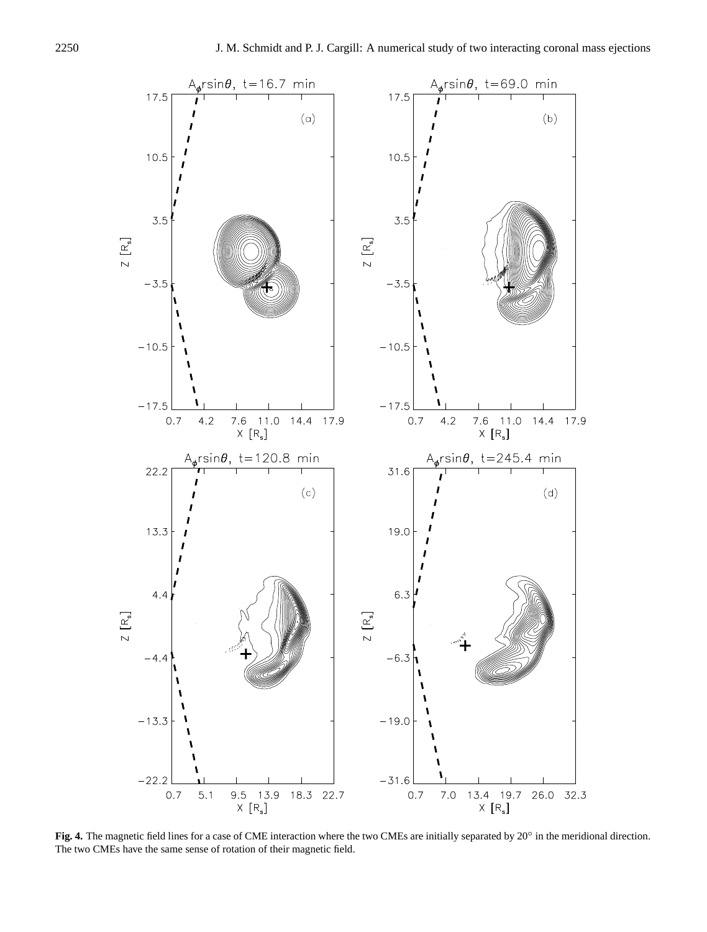

Fig. 4. The magnetic field lines for a case of CME interaction where the two CMEs are initially separated by 20° in the meridional direction. The two CMEs have the same sense of rotation of their magnetic field.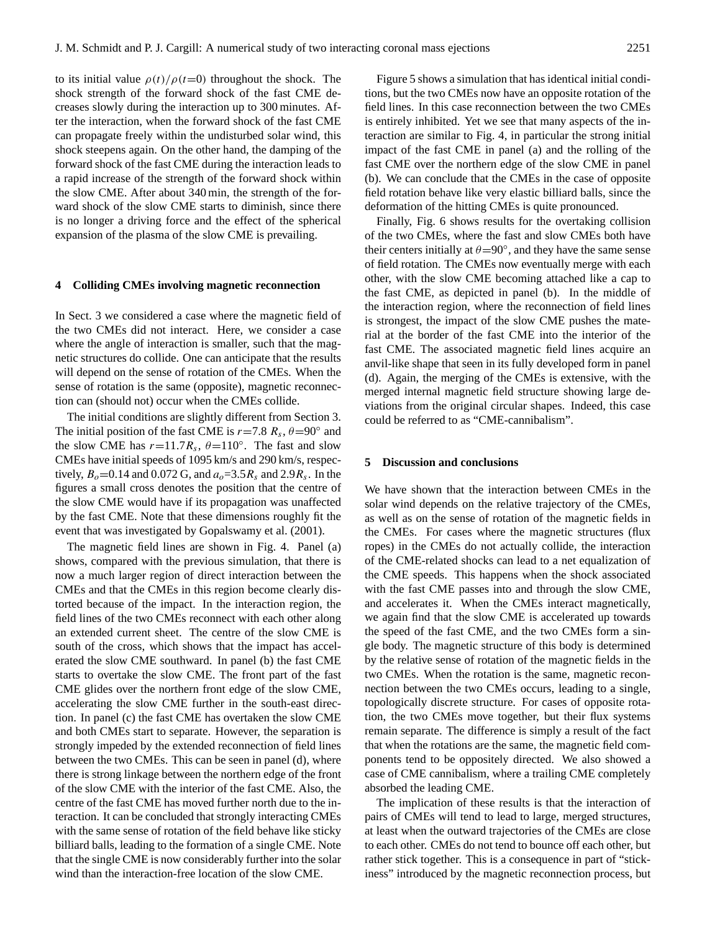to its initial value  $\rho(t)/\rho(t=0)$  throughout the shock. The shock strength of the forward shock of the fast CME decreases slowly during the interaction up to 300 minutes. After the interaction, when the forward shock of the fast CME can propagate freely within the undisturbed solar wind, this shock steepens again. On the other hand, the damping of the forward shock of the fast CME during the interaction leads to a rapid increase of the strength of the forward shock within the slow CME. After about 340 min, the strength of the forward shock of the slow CME starts to diminish, since there is no longer a driving force and the effect of the spherical expansion of the plasma of the slow CME is prevailing.

# **4 Colliding CMEs involving magnetic reconnection**

In Sect. 3 we considered a case where the magnetic field of the two CMEs did not interact. Here, we consider a case where the angle of interaction is smaller, such that the magnetic structures do collide. One can anticipate that the results will depend on the sense of rotation of the CMEs. When the sense of rotation is the same (opposite), magnetic reconnection can (should not) occur when the CMEs collide.

The initial conditions are slightly different from Section 3. The initial position of the fast CME is  $r=7.8 R_s$ ,  $\theta=90^\circ$  and the slow CME has  $r=11.7R_s$ ,  $\theta=110^\circ$ . The fast and slow CMEs have initial speeds of 1095 km/s and 290 km/s, respectively,  $B_o$  = 0.14 and 0.072 G, and  $a_o$  = 3.5 $R_s$  and 2.9 $R_s$ . In the figures a small cross denotes the position that the centre of the slow CME would have if its propagation was unaffected by the fast CME. Note that these dimensions roughly fit the event that was investigated by Gopalswamy et al. (2001).

The magnetic field lines are shown in Fig. 4. Panel (a) shows, compared with the previous simulation, that there is now a much larger region of direct interaction between the CMEs and that the CMEs in this region become clearly distorted because of the impact. In the interaction region, the field lines of the two CMEs reconnect with each other along an extended current sheet. The centre of the slow CME is south of the cross, which shows that the impact has accelerated the slow CME southward. In panel (b) the fast CME starts to overtake the slow CME. The front part of the fast CME glides over the northern front edge of the slow CME, accelerating the slow CME further in the south-east direction. In panel (c) the fast CME has overtaken the slow CME and both CMEs start to separate. However, the separation is strongly impeded by the extended reconnection of field lines between the two CMEs. This can be seen in panel (d), where there is strong linkage between the northern edge of the front of the slow CME with the interior of the fast CME. Also, the centre of the fast CME has moved further north due to the interaction. It can be concluded that strongly interacting CMEs with the same sense of rotation of the field behave like sticky billiard balls, leading to the formation of a single CME. Note that the single CME is now considerably further into the solar wind than the interaction-free location of the slow CME.

Figure 5 shows a simulation that has identical initial conditions, but the two CMEs now have an opposite rotation of the field lines. In this case reconnection between the two CMEs is entirely inhibited. Yet we see that many aspects of the interaction are similar to Fig. 4, in particular the strong initial impact of the fast CME in panel (a) and the rolling of the fast CME over the northern edge of the slow CME in panel (b). We can conclude that the CMEs in the case of opposite field rotation behave like very elastic billiard balls, since the deformation of the hitting CMEs is quite pronounced.

Finally, Fig. 6 shows results for the overtaking collision of the two CMEs, where the fast and slow CMEs both have their centers initially at  $\theta = 90^\circ$ , and they have the same sense of field rotation. The CMEs now eventually merge with each other, with the slow CME becoming attached like a cap to the fast CME, as depicted in panel (b). In the middle of the interaction region, where the reconnection of field lines is strongest, the impact of the slow CME pushes the material at the border of the fast CME into the interior of the fast CME. The associated magnetic field lines acquire an anvil-like shape that seen in its fully developed form in panel (d). Again, the merging of the CMEs is extensive, with the merged internal magnetic field structure showing large deviations from the original circular shapes. Indeed, this case could be referred to as "CME-cannibalism".

# **5 Discussion and conclusions**

We have shown that the interaction between CMEs in the solar wind depends on the relative trajectory of the CMEs, as well as on the sense of rotation of the magnetic fields in the CMEs. For cases where the magnetic structures (flux ropes) in the CMEs do not actually collide, the interaction of the CME-related shocks can lead to a net equalization of the CME speeds. This happens when the shock associated with the fast CME passes into and through the slow CME, and accelerates it. When the CMEs interact magnetically, we again find that the slow CME is accelerated up towards the speed of the fast CME, and the two CMEs form a single body. The magnetic structure of this body is determined by the relative sense of rotation of the magnetic fields in the two CMEs. When the rotation is the same, magnetic reconnection between the two CMEs occurs, leading to a single, topologically discrete structure. For cases of opposite rotation, the two CMEs move together, but their flux systems remain separate. The difference is simply a result of the fact that when the rotations are the same, the magnetic field components tend to be oppositely directed. We also showed a case of CME cannibalism, where a trailing CME completely absorbed the leading CME.

The implication of these results is that the interaction of pairs of CMEs will tend to lead to large, merged structures, at least when the outward trajectories of the CMEs are close to each other. CMEs do not tend to bounce off each other, but rather stick together. This is a consequence in part of "stickiness" introduced by the magnetic reconnection process, but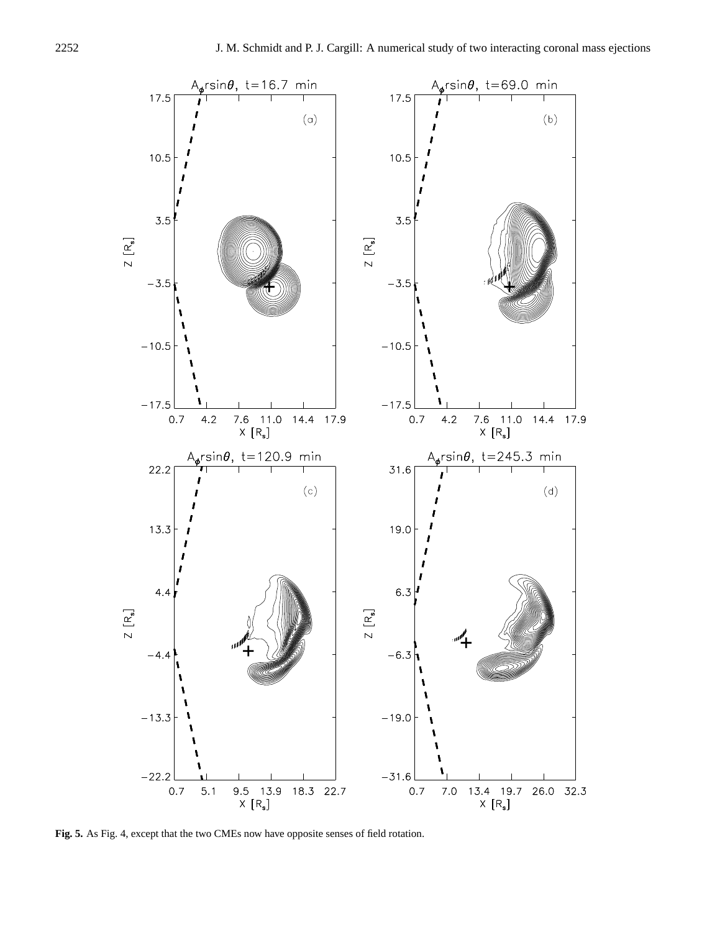

**Fig. 5.** As Fig. 4, except that the two CMEs now have opposite senses of field rotation.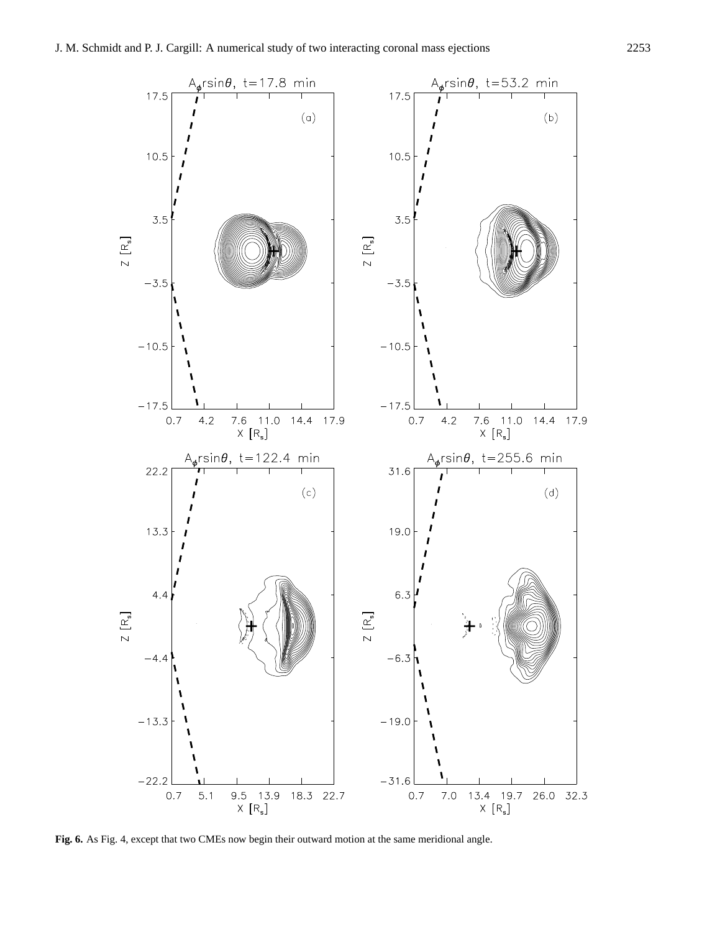

**Fig. 6.** As Fig. 4, except that two CMEs now begin their outward motion at the same meridional angle.